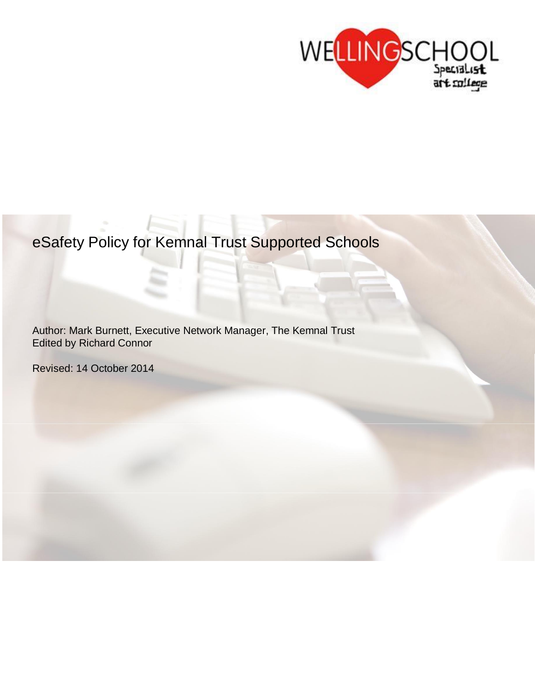

# eSafety Policy for Kemnal Trust Supported Schools

Author: Mark Burnett, Executive Network Manager, The Kemnal Trust Edited by Richard Connor

Revised: 14 October 2014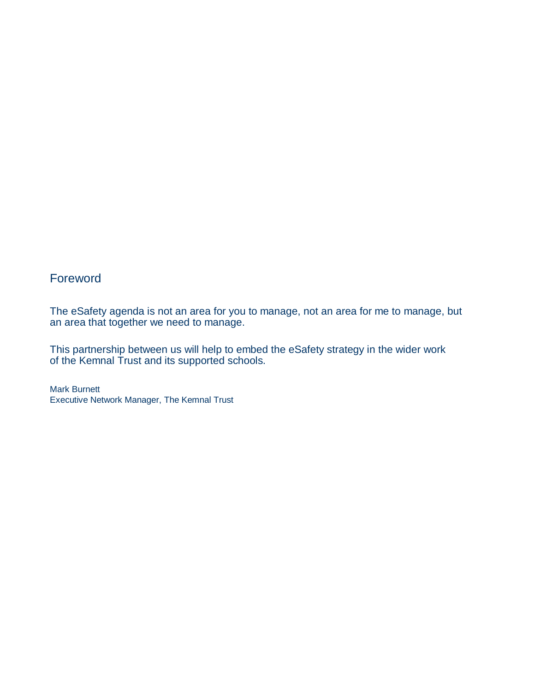# Foreword

The eSafety agenda is not an area for you to manage, not an area for me to manage, but an area that together we need to manage.

This partnership between us will help to embed the eSafety strategy in the wider work of the Kemnal Trust and its supported schools.

Mark Burnett Executive Network Manager, The Kemnal Trust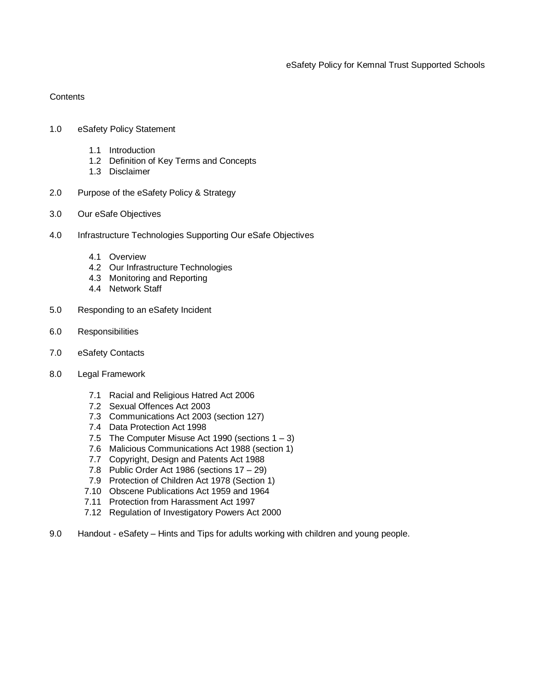**Contents** 

- 1.0 eSafety Policy Statement
	- 1.1 Introduction
	- 1.2 Definition of Key Terms and Concepts
	- 1.3 Disclaimer
- 2.0 Purpose of the eSafety Policy & Strategy
- 3.0 Our eSafe Objectives
- 4.0 Infrastructure Technologies Supporting Our eSafe Objectives
	- 4.1 Overview
	- 4.2 Our Infrastructure Technologies
	- 4.3 Monitoring and Reporting
	- 4.4 Network Staff
- 5.0 Responding to an eSafety Incident
- 6.0 Responsibilities
- 7.0 eSafety Contacts
- 8.0 Legal Framework
	- 7.1 Racial and Religious Hatred Act 2006
	- 7.2 Sexual Offences Act 2003
	- 7.3 Communications Act 2003 (section 127)
	- 7.4 Data Protection Act 1998
	- 7.5 The Computer Misuse Act 1990 (sections  $1 3$ )
	- 7.6 Malicious Communications Act 1988 (section 1)
	- 7.7 Copyright, Design and Patents Act 1988
	- 7.8 Public Order Act 1986 (sections 17 29)
	- 7.9 Protection of Children Act 1978 (Section 1)
	- 7.10 Obscene Publications Act 1959 and 1964
	- 7.11 Protection from Harassment Act 1997
	- 7.12 Regulation of Investigatory Powers Act 2000
- 9.0 Handout eSafety Hints and Tips for adults working with children and young people.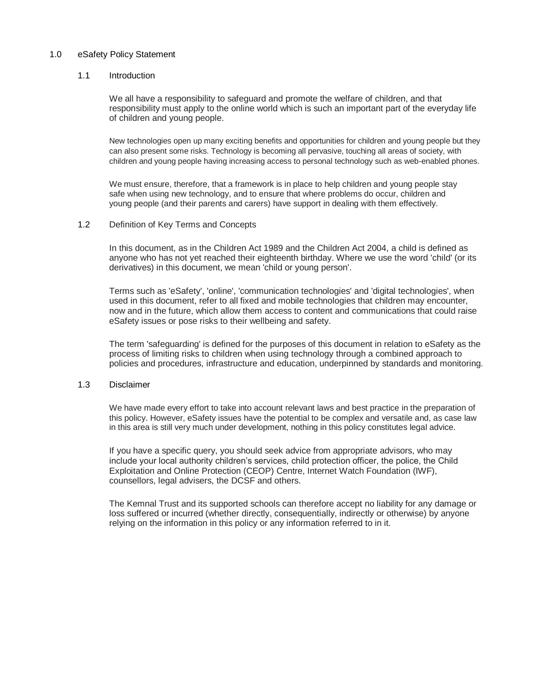#### 1.0 eSafety Policy Statement

#### 1.1 Introduction

We all have a responsibility to safeguard and promote the welfare of children, and that responsibility must apply to the online world which is such an important part of the everyday life of children and young people.

New technologies open up many exciting benefits and opportunities for children and young people but they can also present some risks. Technology is becoming all pervasive, touching all areas of society, with children and young people having increasing access to personal technology such as web-enabled phones.

We must ensure, therefore, that a framework is in place to help children and young people stay safe when using new technology, and to ensure that where problems do occur, children and young people (and their parents and carers) have support in dealing with them effectively.

#### 1.2 Definition of Key Terms and Concepts

In this document, as in the Children Act 1989 and the Children Act 2004, a child is defined as anyone who has not yet reached their eighteenth birthday. Where we use the word 'child' (or its derivatives) in this document, we mean 'child or young person'.

Terms such as 'eSafety', 'online', 'communication technologies' and 'digital technologies', when used in this document, refer to all fixed and mobile technologies that children may encounter, now and in the future, which allow them access to content and communications that could raise eSafety issues or pose risks to their wellbeing and safety.

The term 'safeguarding' is defined for the purposes of this document in relation to eSafety as the process of limiting risks to children when using technology through a combined approach to policies and procedures, infrastructure and education, underpinned by standards and monitoring.

## 1.3 Disclaimer

We have made every effort to take into account relevant laws and best practice in the preparation of this policy. However, eSafety issues have the potential to be complex and versatile and, as case law in this area is still very much under development, nothing in this policy constitutes legal advice.

If you have a specific query, you should seek advice from appropriate advisors, who may include your local authority children's services, child protection officer, the police, the Child Exploitation and Online Protection (CEOP) Centre, Internet Watch Foundation (IWF), counsellors, legal advisers, the DCSF and others.

The Kemnal Trust and its supported schools can therefore accept no liability for any damage or loss suffered or incurred (whether directly, consequentially, indirectly or otherwise) by anyone relying on the information in this policy or any information referred to in it.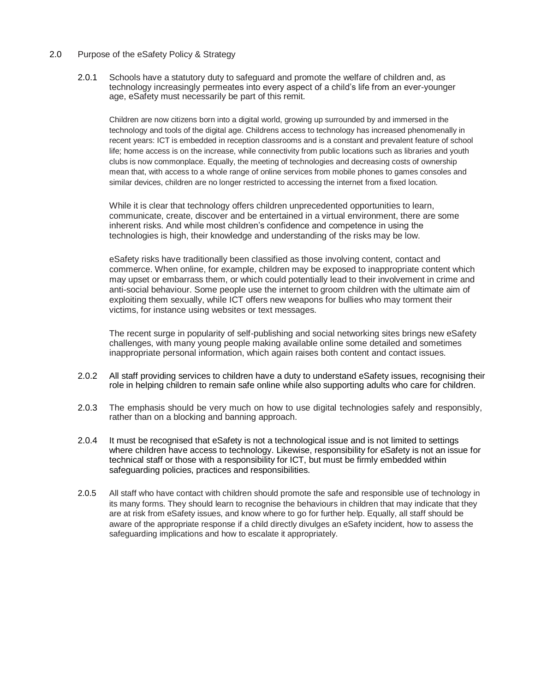# 2.0 Purpose of the eSafety Policy & Strategy

2.0.1 Schools have a statutory duty to safeguard and promote the welfare of children and, as technology increasingly permeates into every aspect of a child's life from an ever-younger age, eSafety must necessarily be part of this remit.

Children are now citizens born into a digital world, growing up surrounded by and immersed in the technology and tools of the digital age. Childrens access to technology has increased phenomenally in recent years: ICT is embedded in reception classrooms and is a constant and prevalent feature of school life; home access is on the increase, while connectivity from public locations such as libraries and youth clubs is now commonplace. Equally, the meeting of technologies and decreasing costs of ownership mean that, with access to a whole range of online services from mobile phones to games consoles and similar devices, children are no longer restricted to accessing the internet from a fixed location.

While it is clear that technology offers children unprecedented opportunities to learn, communicate, create, discover and be entertained in a virtual environment, there are some inherent risks. And while most children's confidence and competence in using the technologies is high, their knowledge and understanding of the risks may be low.

eSafety risks have traditionally been classified as those involving content, contact and commerce. When online, for example, children may be exposed to inappropriate content which may upset or embarrass them, or which could potentially lead to their involvement in crime and anti-social behaviour. Some people use the internet to groom children with the ultimate aim of exploiting them sexually, while ICT offers new weapons for bullies who may torment their victims, for instance using websites or text messages.

The recent surge in popularity of self-publishing and social networking sites brings new eSafety challenges, with many young people making available online some detailed and sometimes inappropriate personal information, which again raises both content and contact issues.

- 2.0.2 All staff providing services to children have a duty to understand eSafety issues, recognising their role in helping children to remain safe online while also supporting adults who care for children.
- 2.0.3 The emphasis should be very much on how to use digital technologies safely and responsibly, rather than on a blocking and banning approach.
- 2.0.4 It must be recognised that eSafety is not a technological issue and is not limited to settings where children have access to technology. Likewise, responsibility for eSafety is not an issue for technical staff or those with a responsibility for ICT, but must be firmly embedded within safeguarding policies, practices and responsibilities.
- 2.0.5 All staff who have contact with children should promote the safe and responsible use of technology in its many forms. They should learn to recognise the behaviours in children that may indicate that they are at risk from eSafety issues, and know where to go for further help. Equally, all staff should be aware of the appropriate response if a child directly divulges an eSafety incident, how to assess the safeguarding implications and how to escalate it appropriately.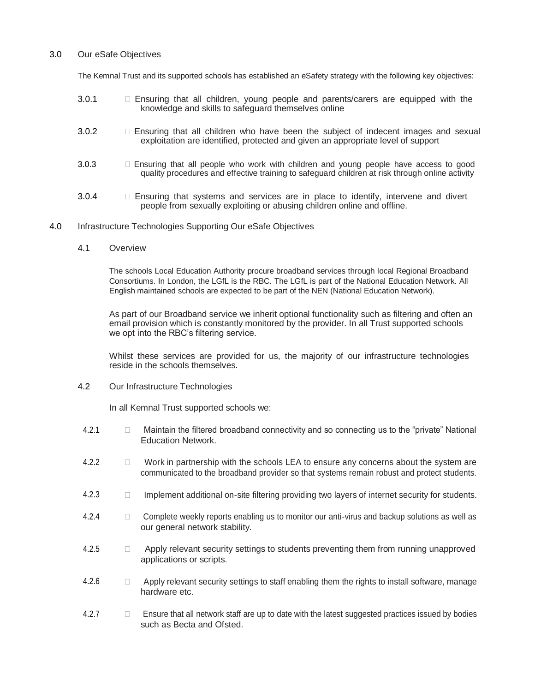### 3.0 Our eSafe Objectives

The Kemnal Trust and its supported schools has established an eSafety strategy with the following key objectives:

- 3.0.1 Ensuring that all children, young people and parents/carers are equipped with the knowledge and skills to safeguard themselves online
- 3.0.2 Ensuring that all children who have been the subject of indecent images and sexual exploitation are identified, protected and given an appropriate level of support
- 3.0.3 Ensuring that all people who work with children and young people have access to good quality procedures and effective training to safeguard children at risk through online activity
- 3.0.4 **Ensuring that systems and services are in place to identify, intervene and divert** people from sexually exploiting or abusing children online and offline.
- 4.0 Infrastructure Technologies Supporting Our eSafe Objectives
	- 4.1 Overview

The schools Local Education Authority procure broadband services through local Regional Broadband Consortiums. In London, the LGfL is the RBC. The LGfL is part of the National Education Network. All English maintained schools are expected to be part of the NEN (National Education Network).

As part of our Broadband service we inherit optional functionality such as filtering and often an email provision which is constantly monitored by the provider. In all Trust supported schools we opt into the RBC's filtering service.

Whilst these services are provided for us, the majority of our infrastructure technologies reside in the schools themselves.

4.2 Our Infrastructure Technologies

In all Kemnal Trust supported schools we:

- 4.2.1 Maintain the filtered broadband connectivity and so connecting us to the "private" National Education Network.
- 4.2.2 Work in partnership with the schools LEA to ensure any concerns about the system are communicated to the broadband provider so that systems remain robust and protect students.
- 4.2.3 **Implement additional on-site filtering providing two layers of internet security for students.**
- 4.2.4 Complete weekly reports enabling us to monitor our anti-virus and backup solutions as well as our general network stability.
- 4.2.5  $\Box$  Apply relevant security settings to students preventing them from running unapproved applications or scripts.
- 4.2.6 **Apply relevant security settings to staff enabling them the rights to install software, manage** hardware etc.
- 4.2.7 **Ensure that all network staff are up to date with the latest suggested practices issued by bodies** such as Becta and Ofsted.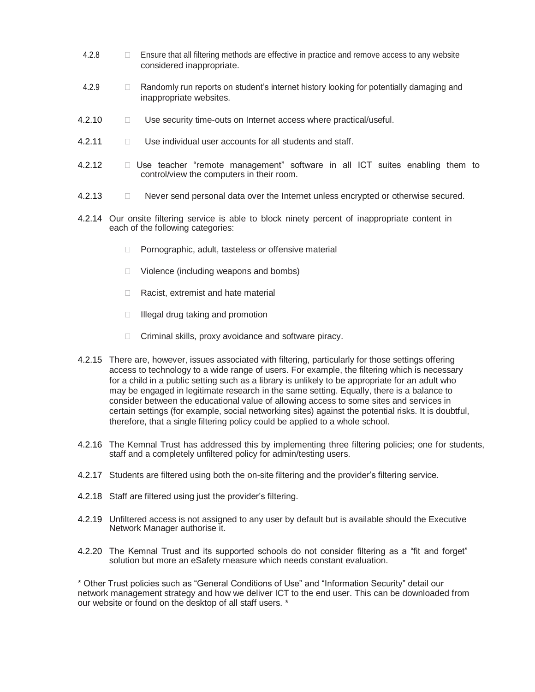- 4.2.8 **Ensure that all filtering methods are effective in practice and remove access to any website** considered inappropriate.
- 4.2.9 **Example 1** Randomly run reports on student's internet history looking for potentially damaging and inappropriate websites.
- 4.2.10 **Use security time-outs on Internet access where practical/useful.**
- 4.2.11 **Drawing Use individual user accounts for all students and staff.**
- 4.2.12 Use teacher "remote management" software in all ICT suites enabling them to control/view the computers in their room.
- 4.2.13 Never send personal data over the Internet unless encrypted or otherwise secured.
- 4.2.14 Our onsite filtering service is able to block ninety percent of inappropriate content in each of the following categories:
	- □ Pornographic, adult, tasteless or offensive material
	- $\Box$  Violence (including weapons and bombs)
	- □ Racist, extremist and hate material
	- $\Box$  Illegal drug taking and promotion
	- $\Box$  Criminal skills, proxy avoidance and software piracy.
- 4.2.15 There are, however, issues associated with filtering, particularly for those settings offering access to technology to a wide range of users. For example, the filtering which is necessary for a child in a public setting such as a library is unlikely to be appropriate for an adult who may be engaged in legitimate research in the same setting. Equally, there is a balance to consider between the educational value of allowing access to some sites and services in certain settings (for example, social networking sites) against the potential risks. It is doubtful, therefore, that a single filtering policy could be applied to a whole school.
- 4.2.16 The Kemnal Trust has addressed this by implementing three filtering policies; one for students, staff and a completely unfiltered policy for admin/testing users.
- 4.2.17 Students are filtered using both the on-site filtering and the provider's filtering service.
- 4.2.18 Staff are filtered using just the provider's filtering.
- 4.2.19 Unfiltered access is not assigned to any user by default but is available should the Executive Network Manager authorise it.
- 4.2.20 The Kemnal Trust and its supported schools do not consider filtering as a "fit and forget" solution but more an eSafety measure which needs constant evaluation.

\* Other Trust policies such as "General Conditions of Use" and "Information Security" detail our network management strategy and how we deliver ICT to the end user. This can be downloaded from our website or found on the desktop of all staff users. \*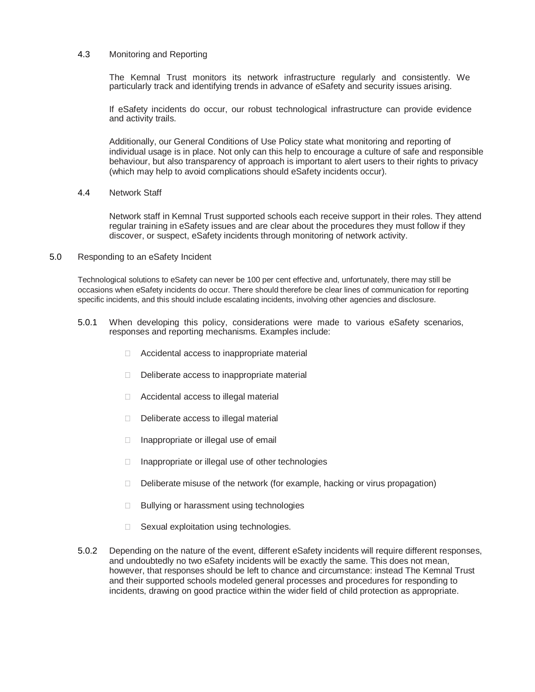#### 4.3 Monitoring and Reporting

The Kemnal Trust monitors its network infrastructure regularly and consistently. We particularly track and identifying trends in advance of eSafety and security issues arising.

If eSafety incidents do occur, our robust technological infrastructure can provide evidence and activity trails.

Additionally, our General Conditions of Use Policy state what monitoring and reporting of individual usage is in place. Not only can this help to encourage a culture of safe and responsible behaviour, but also transparency of approach is important to alert users to their rights to privacy (which may help to avoid complications should eSafety incidents occur).

### 4.4 Network Staff

Network staff in Kemnal Trust supported schools each receive support in their roles. They attend regular training in eSafety issues and are clear about the procedures they must follow if they discover, or suspect, eSafety incidents through monitoring of network activity.

#### 5.0 Responding to an eSafety Incident

Technological solutions to eSafety can never be 100 per cent effective and, unfortunately, there may still be occasions when eSafety incidents do occur. There should therefore be clear lines of communication for reporting specific incidents, and this should include escalating incidents, involving other agencies and disclosure.

- 5.0.1 When developing this policy, considerations were made to various eSafety scenarios, responses and reporting mechanisms. Examples include:
	- □ Accidental access to inappropriate material
	- Deliberate access to inappropriate material
	- □ Accidental access to illegal material
	- Deliberate access to illegal material
	- $\Box$  Inappropriate or illegal use of email
	- $\Box$  Inappropriate or illegal use of other technologies
	- $\Box$  Deliberate misuse of the network (for example, hacking or virus propagation)
	- $\Box$  Bullying or harassment using technologies
	- $\Box$  Sexual exploitation using technologies.
- 5.0.2 Depending on the nature of the event, different eSafety incidents will require different responses, and undoubtedly no two eSafety incidents will be exactly the same. This does not mean, however, that responses should be left to chance and circumstance: instead The Kemnal Trust and their supported schools modeled general processes and procedures for responding to incidents, drawing on good practice within the wider field of child protection as appropriate.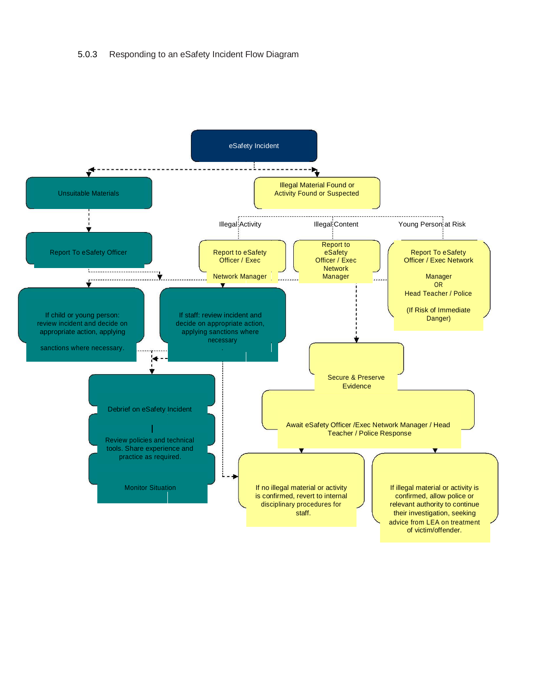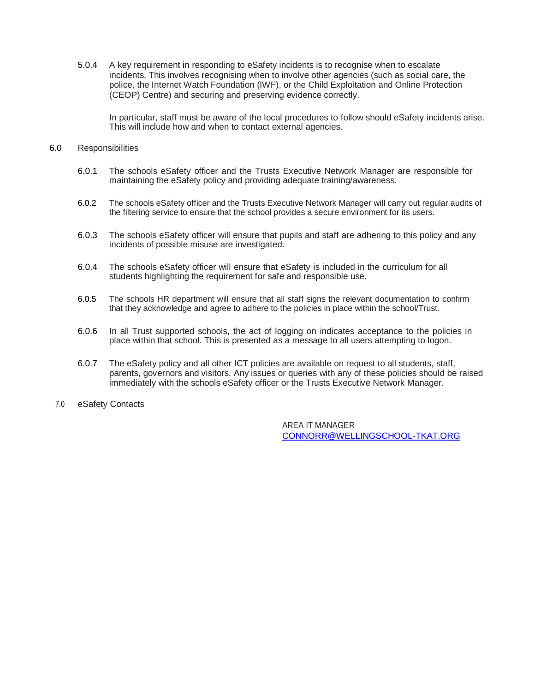5.0.4 A key requirement in responding to eSafety incidents is to recognise when to escalate incidents. This involves recognising when to involve other agencies (such as social care, the police, the Internet Watch Foundation (IWF), or the Child Exploitation and Online Protection (CEOP) Centre) and securing and preserving evidence correctly.

In particular, staff must be aware of the local procedures to follow should eSafety incidents arise. This will include how and when to contact external agencies.

#### 6.0 Responsibilities

- 6.0.1 The schools eSafety officer and the Trusts Executive Network Manager are responsible for maintaining the eSafety policy and providing adequate training/awareness.
- 6.0.2 The schools eSafety officer and the Trusts Executive Network Manager will carry out regular audits of the filtering service to ensure that the school provides a secure environment for its users.
- 6.0.3 The schools eSafety officer will ensure that pupils and staff are adhering to this policy and any incidents of possible misuse are investigated.
- 6.0.4 The schools eSafety officer will ensure that eSafety is included in the curriculum for all students highlighting the requirement for safe and responsible use.
- 6.0.5 The schools HR department will ensure that all staff signs the relevant documentation to confirm that they acknowledge and agree to adhere to the policies in place within the school/Trust.
- 6.0.6 In all Trust supported schools, the act of logging on indicates acceptance to the policies in place within that school. This is presented as a message to all users attempting to logon.
- 6.0.7 The eSafety policy and all other ICT policies are available on request to all students, staff, parents, governors and visitors. Any issues or queries with any of these policies should be raised immediately with the schools eSafety officer or the Trusts Executive Network Manager.
- 7.0 eSafety Contacts

AREA IT MANAGER CONNORR@WELLINGSCHOOL-TKAT.ORG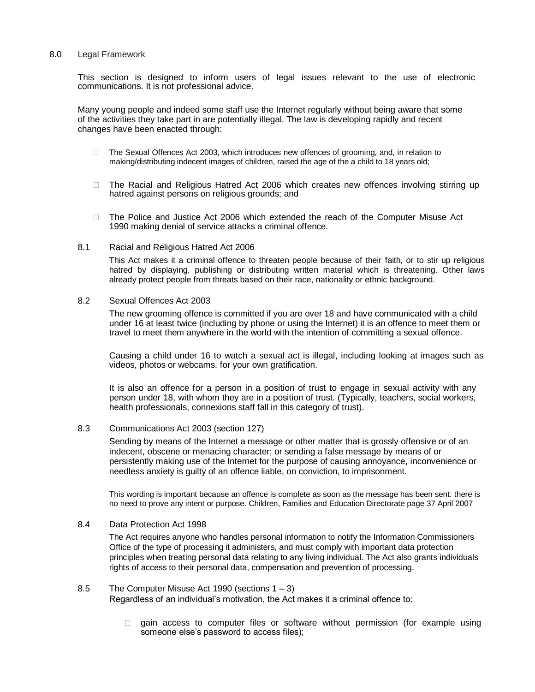#### 8.0 Legal Framework

This section is designed to inform users of legal issues relevant to the use of electronic communications. It is not professional advice.

Many young people and indeed some staff use the Internet regularly without being aware that some of the activities they take part in are potentially illegal. The law is developing rapidly and recent changes have been enacted through:

- □ The Sexual Offences Act 2003, which introduces new offences of grooming, and, in relation to making/distributing indecent images of children, raised the age of the a child to 18 years old;
- □ The Racial and Religious Hatred Act 2006 which creates new offences involving stirring up hatred against persons on religious grounds; and
- □ The Police and Justice Act 2006 which extended the reach of the Computer Misuse Act 1990 making denial of service attacks a criminal offence.

#### 8.1 Racial and Religious Hatred Act 2006

This Act makes it a criminal offence to threaten people because of their faith, or to stir up religious hatred by displaying, publishing or distributing written material which is threatening. Other laws already protect people from threats based on their race, nationality or ethnic background.

#### 8.2 Sexual Offences Act 2003

The new grooming offence is committed if you are over 18 and have communicated with a child under 16 at least twice (including by phone or using the Internet) it is an offence to meet them or travel to meet them anywhere in the world with the intention of committing a sexual offence.

Causing a child under 16 to watch a sexual act is illegal, including looking at images such as videos, photos or webcams, for your own gratification.

It is also an offence for a person in a position of trust to engage in sexual activity with any person under 18, with whom they are in a position of trust. (Typically, teachers, social workers, health professionals, connexions staff fall in this category of trust).

#### 8.3 Communications Act 2003 (section 127)

Sending by means of the Internet a message or other matter that is grossly offensive or of an indecent, obscene or menacing character; or sending a false message by means of or persistently making use of the Internet for the purpose of causing annoyance, inconvenience or needless anxiety is guilty of an offence liable, on conviction, to imprisonment.

This wording is important because an offence is complete as soon as the message has been sent: there is no need to prove any intent or purpose. Children, Families and Education Directorate page 37 April 2007

#### 8.4 Data Protection Act 1998

The Act requires anyone who handles personal information to notify the Information Commissioners Office of the type of processing it administers, and must comply with important data protection principles when treating personal data relating to any living individual. The Act also grants individuals rights of access to their personal data, compensation and prevention of processing.

- 8.5 The Computer Misuse Act 1990 (sections 1 3) Regardless of an individual's motivation, the Act makes it a criminal offence to:
	- $\Box$  gain access to computer files or software without permission (for example using someone else's password to access files);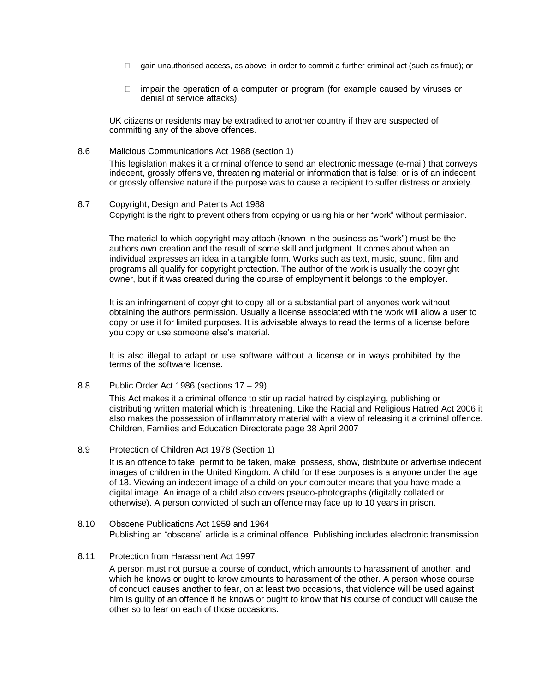- $\Box$  gain unauthorised access, as above, in order to commit a further criminal act (such as fraud); or
- $\Box$  impair the operation of a computer or program (for example caused by viruses or denial of service attacks).

UK citizens or residents may be extradited to another country if they are suspected of committing any of the above offences.

8.6 Malicious Communications Act 1988 (section 1)

This legislation makes it a criminal offence to send an electronic message (e-mail) that conveys indecent, grossly offensive, threatening material or information that is false; or is of an indecent or grossly offensive nature if the purpose was to cause a recipient to suffer distress or anxiety.

8.7 Copyright, Design and Patents Act 1988 Copyright is the right to prevent others from copying or using his or her "work" without permission.

The material to which copyright may attach (known in the business as "work") must be the authors own creation and the result of some skill and judgment. It comes about when an individual expresses an idea in a tangible form. Works such as text, music, sound, film and programs all qualify for copyright protection. The author of the work is usually the copyright owner, but if it was created during the course of employment it belongs to the employer.

It is an infringement of copyright to copy all or a substantial part of anyones work without obtaining the authors permission. Usually a license associated with the work will allow a user to copy or use it for limited purposes. It is advisable always to read the terms of a license before you copy or use someone else's material.

It is also illegal to adapt or use software without a license or in ways prohibited by the terms of the software license.

8.8 Public Order Act 1986 (sections 17 – 29)

This Act makes it a criminal offence to stir up racial hatred by displaying, publishing or distributing written material which is threatening. Like the Racial and Religious Hatred Act 2006 it also makes the possession of inflammatory material with a view of releasing it a criminal offence. Children, Families and Education Directorate page 38 April 2007

8.9 Protection of Children Act 1978 (Section 1)

It is an offence to take, permit to be taken, make, possess, show, distribute or advertise indecent images of children in the United Kingdom. A child for these purposes is a anyone under the age of 18. Viewing an indecent image of a child on your computer means that you have made a digital image. An image of a child also covers pseudo-photographs (digitally collated or otherwise). A person convicted of such an offence may face up to 10 years in prison.

- 8.10 Obscene Publications Act 1959 and 1964 Publishing an "obscene" article is a criminal offence. Publishing includes electronic transmission.
- 8.11 Protection from Harassment Act 1997

A person must not pursue a course of conduct, which amounts to harassment of another, and which he knows or ought to know amounts to harassment of the other. A person whose course of conduct causes another to fear, on at least two occasions, that violence will be used against him is guilty of an offence if he knows or ought to know that his course of conduct will cause the other so to fear on each of those occasions.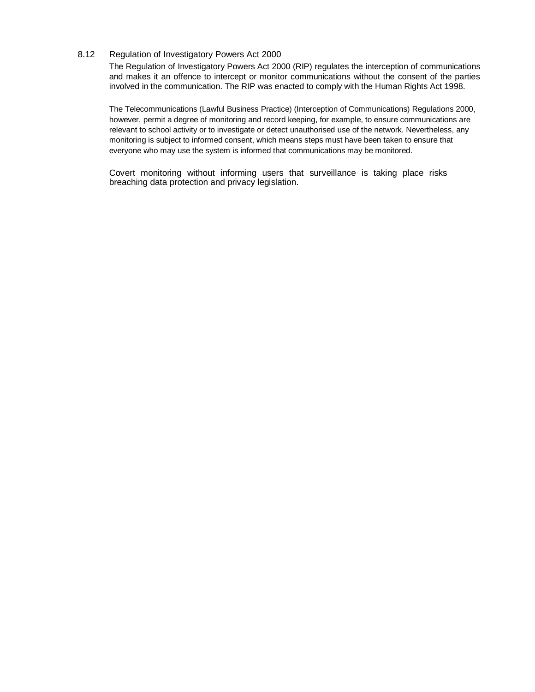# 8.12 Regulation of Investigatory Powers Act 2000

The Regulation of Investigatory Powers Act 2000 (RIP) regulates the interception of communications and makes it an offence to intercept or monitor communications without the consent of the parties involved in the communication. The RIP was enacted to comply with the Human Rights Act 1998.

The Telecommunications (Lawful Business Practice) (Interception of Communications) Regulations 2000, however, permit a degree of monitoring and record keeping, for example, to ensure communications are relevant to school activity or to investigate or detect unauthorised use of the network. Nevertheless, any monitoring is subject to informed consent, which means steps must have been taken to ensure that everyone who may use the system is informed that communications may be monitored.

Covert monitoring without informing users that surveillance is taking place risks breaching data protection and privacy legislation.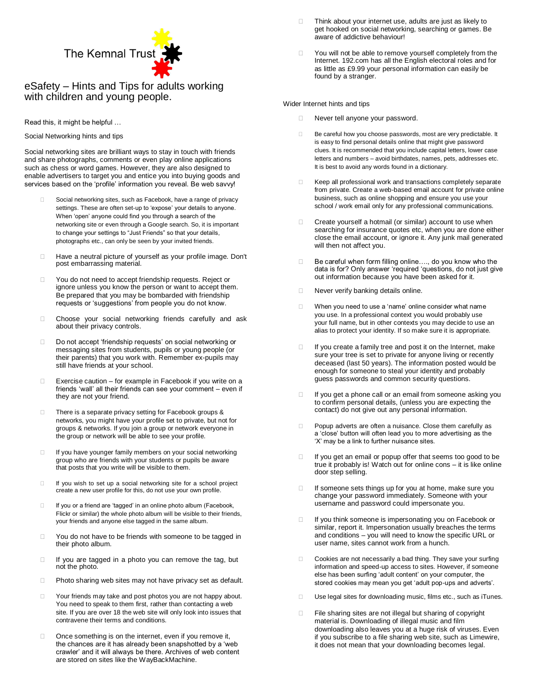

eSafety – Hints and Tips for adults working with children and young people.

Read this, it might be helpful …

Social Networking hints and tips

Social networking sites are brilliant ways to stay in touch with friends and share photographs, comments or even play online applications such as chess or word games. However, they are also designed to enable advertisers to target you and entice you into buying goods and services based on the 'profile' information you reveal. Be web savvy!

- Social networking sites, such as Facebook, have a range of privacy settings. These are often set-up to 'expose' your details to anyone. When 'open' anyone could find you through a search of the networking site or even through a Google search. So, it is important to change your settings to "Just Friends" so that your details, photographs etc., can only be seen by your invited friends.
- □ Have a neutral picture of yourself as your profile image. Don't post embarrassing material.
- □ You do not need to accept friendship requests. Reject or ignore unless you know the person or want to accept them. Be prepared that you may be bombarded with friendship requests or 'suggestions' from people you do not know.
- Choose your social networking friends carefully and ask about their privacy controls.
- □ Do not accept 'friendship requests' on social networking or messaging sites from students, pupils or young people (or their parents) that you work with. Remember ex-pupils may still have friends at your school.
- $\Box$  Exercise caution for example in Facebook if you write on a friends 'wall' all their friends can see your comment – even if they are not your friend.
- There is a separate privacy setting for Facebook groups & networks, you might have your profile set to private, but not for groups & networks. If you join a group or network everyone in the group or network will be able to see your profile.
- $\Box$  If you have younger family members on your social networking group who are friends with your students or pupils be aware that posts that you write will be visible to them.
- $\Box$  If you wish to set up a social networking site for a school project create a new user profile for this, do not use your own profile.
- □ If you or a friend are 'tagged' in an online photo album (Facebook, Flickr or similar) the whole photo album will be visible to their friends, your friends and anyone else tagged in the same album.
- □ You do not have to be friends with someone to be tagged in their photo album.
- $\Box$  If you are tagged in a photo you can remove the tag, but not the photo.
- □ Photo sharing web sites may not have privacy set as default.
- □ Your friends may take and post photos you are not happy about. You need to speak to them first, rather than contacting a web site. If you are over 18 the web site will only look into issues that contravene their terms and conditions.
- Once something is on the internet, even if you remove it, the chances are it has already been snapshotted by a 'web crawler' and it will always be there. Archives of web content are stored on sites like the WayBackMachine.
- Think about your internet use, adults are just as likely to get hooked on social networking, searching or games. Be aware of addictive behaviour!
- You will not be able to remove yourself completely from the Internet. 192.com has all the English electoral roles and for as little as £9.99 your personal information can easily be found by a stranger.

Wider Internet hints and tips

- Never tell anyone your password.
- Be careful how you choose passwords, most are very predictable. It is easy to find personal details online that might give password clues. It is recommended that you include capital letters, lower case letters and numbers – avoid birthdates, names, pets, addresses etc. It is best to avoid any words found in a dictionary.
- E Keep all professional work and transactions completely separate from private. Create a web-based email account for private online business, such as online shopping and ensure you use your school / work email only for any professional communications.
- $\Box$  Create yourself a hotmail (or similar) account to use when searching for insurance quotes etc, when you are done either close the email account, or ignore it. Any junk mail generated will then not affect you.
- □ Be careful when form filling online...., do you know who the data is for? Only answer 'required 'questions, do not just give out information because you have been asked for it.
- Never verify banking details online.
- When you need to use a 'name' online consider what name you use. In a professional context you would probably use your full name, but in other contexts you may decide to use an alias to protect your identity. If so make sure it is appropriate.
- $\Box$  If you create a family tree and post it on the Internet, make sure your tree is set to private for anyone living or recently deceased (last 50 years). The information posted would be enough for someone to steal your identity and probably guess passwords and common security questions.
- $\Box$  If you get a phone call or an email from someone asking you to confirm personal details, (unless you are expecting the contact) do not give out any personal information.
- D Popup adverts are often a nuisance. Close them carefully as a 'close' button will often lead you to more advertising as the 'X' may be a link to further nuisance sites.
- If you get an email or popup offer that seems too good to be true it probably is! Watch out for online cons – it is like online door step selling.
- If someone sets things up for you at home, make sure you change your password immediately. Someone with your username and password could impersonate you.
- If you think someone is impersonating you on Facebook or similar, report it. Impersonation usually breaches the terms and conditions – you will need to know the specific URL or user name, sites cannot work from a hunch.
- □ Cookies are not necessarily a bad thing. They save your surfing information and speed-up access to sites. However, if someone else has been surfing 'adult content' on your computer, the stored cookies may mean you get 'adult pop-ups and adverts'.
- Use legal sites for downloading music, films etc., such as iTunes.
- □ File sharing sites are not illegal but sharing of copyright material is. Downloading of illegal music and film downloading also leaves you at a huge risk of viruses. Even if you subscribe to a file sharing web site, such as Limewire, it does not mean that your downloading becomes legal.